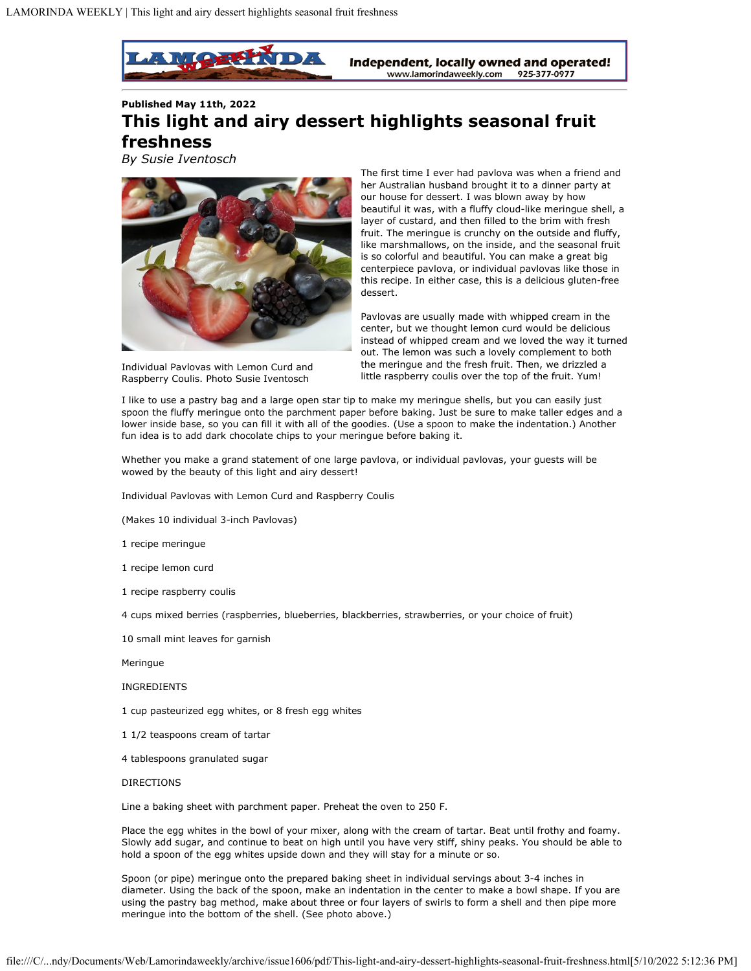

**Published May 11th, 2022 This light and airy dessert highlights seasonal fruit freshness**

*By Susie Iventosch*



Individual Pavlovas with Lemon Curd and Raspberry Coulis. Photo Susie Iventosch

The first time I ever had pavlova was when a friend and her Australian husband brought it to a dinner party at our house for dessert. I was blown away by how beautiful it was, with a fluffy cloud-like meringue shell, a layer of custard, and then filled to the brim with fresh fruit. The meringue is crunchy on the outside and fluffy, like marshmallows, on the inside, and the seasonal fruit is so colorful and beautiful. You can make a great big centerpiece pavlova, or individual pavlovas like those in this recipe. In either case, this is a delicious gluten-free dessert.

Pavlovas are usually made with whipped cream in the center, but we thought lemon curd would be delicious instead of whipped cream and we loved the way it turned out. The lemon was such a lovely complement to both the meringue and the fresh fruit. Then, we drizzled a little raspberry coulis over the top of the fruit. Yum!

I like to use a pastry bag and a large open star tip to make my meringue shells, but you can easily just spoon the fluffy meringue onto the parchment paper before baking. Just be sure to make taller edges and a lower inside base, so you can fill it with all of the goodies. (Use a spoon to make the indentation.) Another fun idea is to add dark chocolate chips to your meringue before baking it.

Whether you make a grand statement of one large pavlova, or individual pavlovas, your guests will be wowed by the beauty of this light and airy dessert!

Individual Pavlovas with Lemon Curd and Raspberry Coulis

(Makes 10 individual 3-inch Pavlovas)

1 recipe meringue

1 recipe lemon curd

1 recipe raspberry coulis

4 cups mixed berries (raspberries, blueberries, blackberries, strawberries, or your choice of fruit)

10 small mint leaves for garnish

Meringue

INGREDIENTS

1 cup pasteurized egg whites, or 8 fresh egg whites

- 1 1/2 teaspoons cream of tartar
- 4 tablespoons granulated sugar

## DIRECTIONS

Line a baking sheet with parchment paper. Preheat the oven to 250 F.

Place the egg whites in the bowl of your mixer, along with the cream of tartar. Beat until frothy and foamy. Slowly add sugar, and continue to beat on high until you have very stiff, shiny peaks. You should be able to hold a spoon of the egg whites upside down and they will stay for a minute or so.

Spoon (or pipe) meringue onto the prepared baking sheet in individual servings about 3-4 inches in diameter. Using the back of the spoon, make an indentation in the center to make a bowl shape. If you are using the pastry bag method, make about three or four layers of swirls to form a shell and then pipe more meringue into the bottom of the shell. (See photo above.)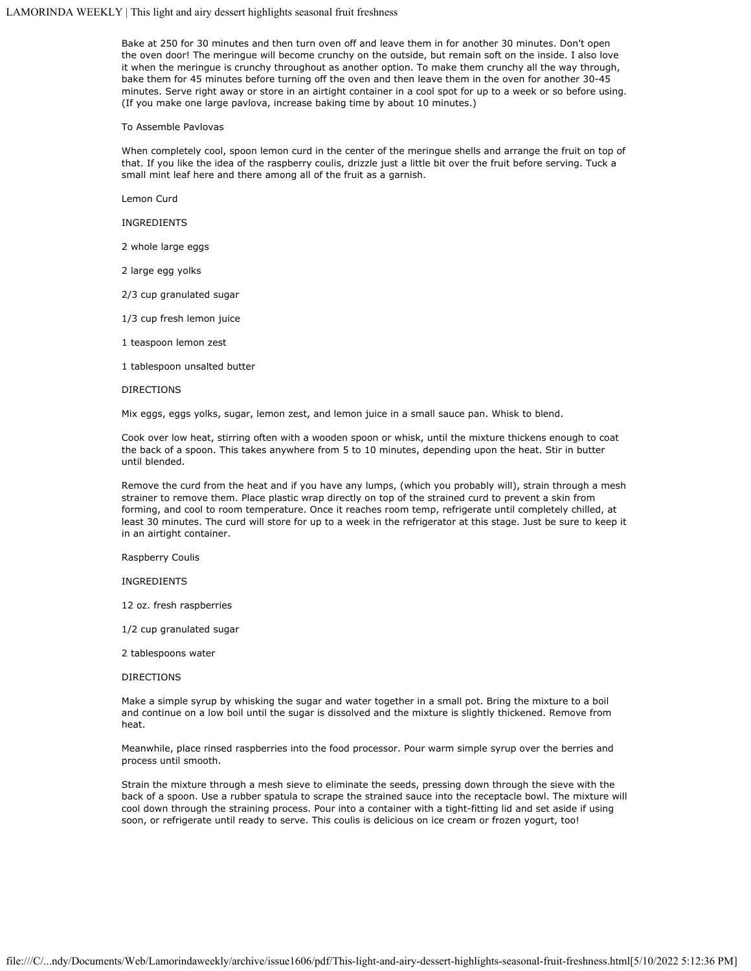# LAMORINDA WEEKLY | This light and airy dessert highlights seasonal fruit freshness

Bake at 250 for 30 minutes and then turn oven off and leave them in for another 30 minutes. Don't open the oven door! The meringue will become crunchy on the outside, but remain soft on the inside. I also love it when the meringue is crunchy throughout as another option. To make them crunchy all the way through, bake them for 45 minutes before turning off the oven and then leave them in the oven for another 30-45 minutes. Serve right away or store in an airtight container in a cool spot for up to a week or so before using. (If you make one large pavlova, increase baking time by about 10 minutes.)

### To Assemble Pavlovas

When completely cool, spoon lemon curd in the center of the meringue shells and arrange the fruit on top of that. If you like the idea of the raspberry coulis, drizzle just a little bit over the fruit before serving. Tuck a small mint leaf here and there among all of the fruit as a garnish.

Lemon Curd

INGREDIENTS

2 whole large eggs

2 large egg yolks

2/3 cup granulated sugar

1/3 cup fresh lemon juice

1 teaspoon lemon zest

1 tablespoon unsalted butter

#### DIRECTIONS

Mix eggs, eggs yolks, sugar, lemon zest, and lemon juice in a small sauce pan. Whisk to blend.

Cook over low heat, stirring often with a wooden spoon or whisk, until the mixture thickens enough to coat the back of a spoon. This takes anywhere from 5 to 10 minutes, depending upon the heat. Stir in butter until blended.

Remove the curd from the heat and if you have any lumps, (which you probably will), strain through a mesh strainer to remove them. Place plastic wrap directly on top of the strained curd to prevent a skin from forming, and cool to room temperature. Once it reaches room temp, refrigerate until completely chilled, at least 30 minutes. The curd will store for up to a week in the refrigerator at this stage. Just be sure to keep it in an airtight container.

Raspberry Coulis

INGREDIENTS

12 oz. fresh raspberries

1/2 cup granulated sugar

2 tablespoons water

#### DIRECTIONS

Make a simple syrup by whisking the sugar and water together in a small pot. Bring the mixture to a boil and continue on a low boil until the sugar is dissolved and the mixture is slightly thickened. Remove from heat.

Meanwhile, place rinsed raspberries into the food processor. Pour warm simple syrup over the berries and process until smooth.

Strain the mixture through a mesh sieve to eliminate the seeds, pressing down through the sieve with the back of a spoon. Use a rubber spatula to scrape the strained sauce into the receptacle bowl. The mixture will cool down through the straining process. Pour into a container with a tight-fitting lid and set aside if using soon, or refrigerate until ready to serve. This coulis is delicious on ice cream or frozen yogurt, too!